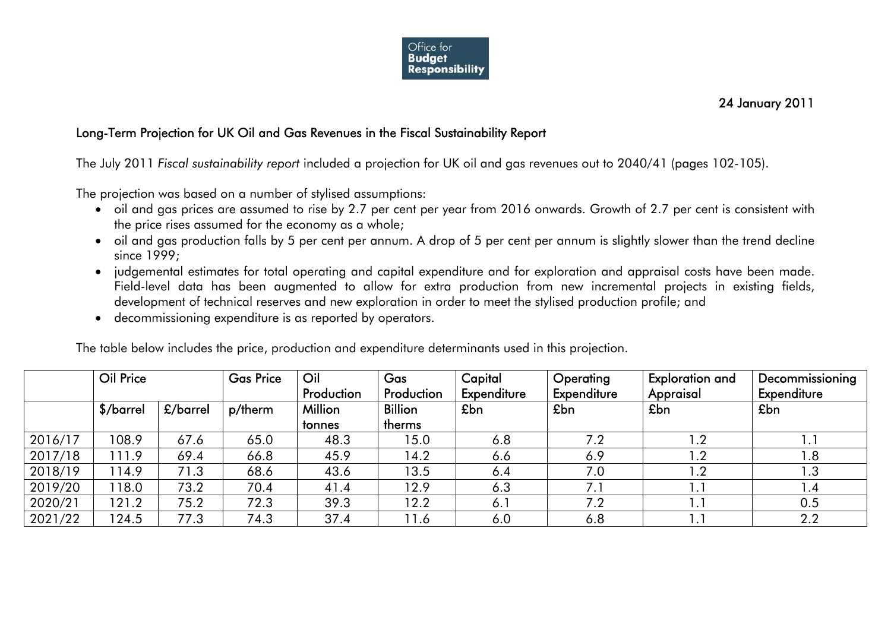

24 January 2011

## Long-Term Projection for UK Oil and Gas Revenues in the Fiscal Sustainability Report

The July 2011 *Fiscal sustainability report* included a projection for UK oil and gas revenues out to 2040/41 (pages 102-105).

The projection was based on a number of stylised assumptions:

- $\bullet~\,$  oil and gas prices are assumed to rise by 2.7 per cent per year from 2016 onwards. Growth of 2.7 per cent is consistent with the price rises assumed for the economy as a whole;
- $\bullet$  oil and gas production falls by 5 per cent per annum. A drop of 5 per cent per annum is slightly slower than the trend decline since 1999:
- judgemental estimates for total operating and capital expenditure and for exploration and appraisal costs have been made. Field-level data has been augmented to allow for extra production from new incremental projects in existing fields, development of technical reserves and new exploration in order to meet the stylised production profile; and
- decommissioning expenditure is as reported by operators.

The table below includes the price, production and expenditure determinants used in this projection.

|         | Oil Price |          | <b>Gas Price</b> | Oil<br>Production | Gas<br>Production        | Capital<br>Expenditure | Operating<br>Expenditure | <b>Exploration and</b><br>Appraisal | Decommissioning<br>Expenditure |
|---------|-----------|----------|------------------|-------------------|--------------------------|------------------------|--------------------------|-------------------------------------|--------------------------------|
|         | \$/barrel | £/barrel | p/therm          | Million<br>tonnes | <b>Billion</b><br>therms | £bn                    | £bn                      | £bn                                 | £bn                            |
| 2016/17 | 108.9     | 67.6     | 65.0             | 48.3              | 15.0                     | 6.8                    | 7.2                      | $\overline{\phantom{a}}$ .2         | 1.1                            |
| 2017/18 | 111.9     | 69.4     | 66.8             | 45.9              | 14.2                     | 6.6                    | 6.9                      | 1.2                                 | 1.8                            |
| 2018/19 | 114.9     | 71.3     | 68.6             | 43.6              | 13.5                     | 6.4                    | 7.0                      | 1.2                                 | 1.3                            |
| 2019/20 | 118.0     | 73.2     | 70.4             | 41.4              | 12.9                     | 6.3                    | 7.1                      |                                     | l .4                           |
| 2020/21 | 121.2     | 75.2     | 72.3             | 39.3              | 12.2                     | 6.1                    | 7.2                      |                                     | 0.5                            |
| 2021/22 | 124.5     | 77.3     | 74.3             | 37.4              | 11.6                     | 6.0                    | 6.8                      |                                     | 2.2                            |